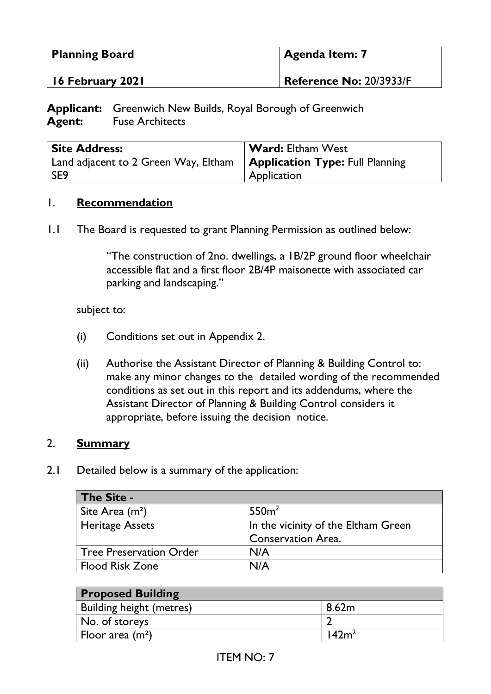| <b>Planning Board</b> | Agenda Item: 7          |
|-----------------------|-------------------------|
| 16 February 2021      | Reference No: 20/3933/F |

**Applicant:** Greenwich New Builds, Royal Borough of Greenwich **Agent:** Fuse Architects

| <b>Site Address:</b>                                                             | <b>Ward:</b> Eltham West |
|----------------------------------------------------------------------------------|--------------------------|
| Land adjacent to 2 Green Way, Eltham $\parallel$ Application Type: Full Planning |                          |
| l SE9                                                                            | Application              |

#### 1. **Recommendation**

1.1 The Board is requested to grant Planning Permission as outlined below:

"The construction of 2no. dwellings, a 1B/2P ground floor wheelchair accessible flat and a first floor 2B/4P maisonette with associated car parking and landscaping."

subject to:

- (i) Conditions set out in Appendix 2.
- (ii) Authorise the Assistant Director of Planning & Building Control to: make any minor changes to the detailed wording of the recommended conditions as set out in this report and its addendums, where the Assistant Director of Planning & Building Control considers it appropriate, before issuing the decision notice.

#### 2. **Summary**

2.1 Detailed below is a summary of the application:

| The Site -                     |                                     |
|--------------------------------|-------------------------------------|
| Site Area (m <sup>2</sup> )    | 550 <sup>2</sup>                    |
| <b>Heritage Assets</b>         | In the vicinity of the Eltham Green |
|                                | <b>Conservation Area.</b>           |
| <b>Tree Preservation Order</b> | N/A                                 |
| <b>Flood Risk Zone</b>         | N/A                                 |

| <b>Proposed Building</b> |       |
|--------------------------|-------|
| Building height (metres) | 8.62m |
| No. of storeys           |       |
| Floor area $(m^2)$       | 142m' |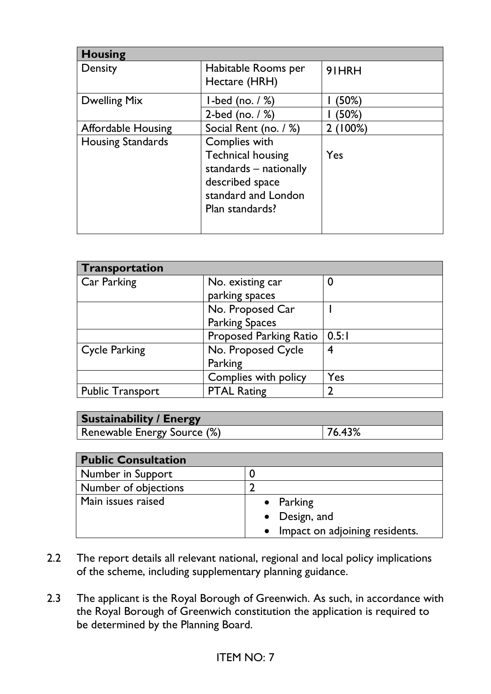| <b>Housing</b>            |                          |        |
|---------------------------|--------------------------|--------|
| Density                   | Habitable Rooms per      | 91HRH  |
|                           | Hectare (HRH)            |        |
| <b>Dwelling Mix</b>       | $l$ -bed (no. $/$ %)     | (50%)  |
|                           | 2-bed (no. $/$ %)        | (50%)  |
| <b>Affordable Housing</b> | Social Rent (no. / %)    | (100%) |
| <b>Housing Standards</b>  | Complies with            |        |
|                           | <b>Technical housing</b> | Yes    |
|                           | standards – nationally   |        |
|                           | described space          |        |
|                           | standard and London      |        |
|                           | Plan standards?          |        |
|                           |                          |        |

| Transportation          |                               |       |
|-------------------------|-------------------------------|-------|
| Car Parking             | No. existing car              | 0     |
|                         | parking spaces                |       |
|                         | No. Proposed Car              |       |
|                         | <b>Parking Spaces</b>         |       |
|                         | <b>Proposed Parking Ratio</b> | 0.5:1 |
| <b>Cycle Parking</b>    | No. Proposed Cycle            | 4     |
|                         | Parking                       |       |
|                         | Complies with policy          | Yes   |
| <b>Public Transport</b> | <b>PTAL Rating</b>            |       |

| <b>Sustainability / Energy</b> |        |
|--------------------------------|--------|
| Renewable Energy Source (%)    | 76.43% |

| <b>Public Consultation</b>  |                                  |
|-----------------------------|----------------------------------|
| Number in Support           |                                  |
| <b>Number of objections</b> |                                  |
| Main issues raised          | • Parking                        |
|                             | • Design, and                    |
|                             | • Impact on adjoining residents. |

- 2.2 The report details all relevant national, regional and local policy implications of the scheme, including supplementary planning guidance.
- 2.3 The applicant is the Royal Borough of Greenwich. As such, in accordance with the Royal Borough of Greenwich constitution the application is required to be determined by the Planning Board.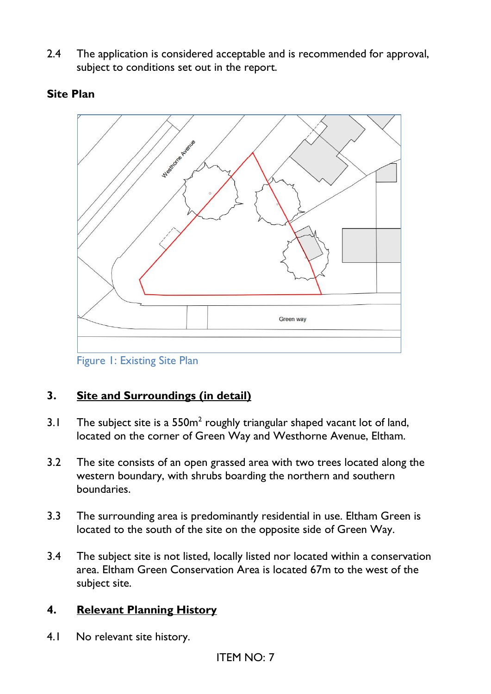2.4 The application is considered acceptable and is recommended for approval, subject to conditions set out in the report.



#### **Site Plan**

Figure 1: Existing Site Plan

### **3. Site and Surroundings (in detail)**

- 3.1 The subject site is a  $550m^2$  roughly triangular shaped vacant lot of land, located on the corner of Green Way and Westhorne Avenue, Eltham.
- 3.2 The site consists of an open grassed area with two trees located along the western boundary, with shrubs boarding the northern and southern boundaries.
- 3.3 The surrounding area is predominantly residential in use. Eltham Green is located to the south of the site on the opposite side of Green Way.
- 3.4 The subject site is not listed, locally listed nor located within a conservation area. Eltham Green Conservation Area is located 67m to the west of the subject site.

#### **4. Relevant Planning History**

4.1 No relevant site history.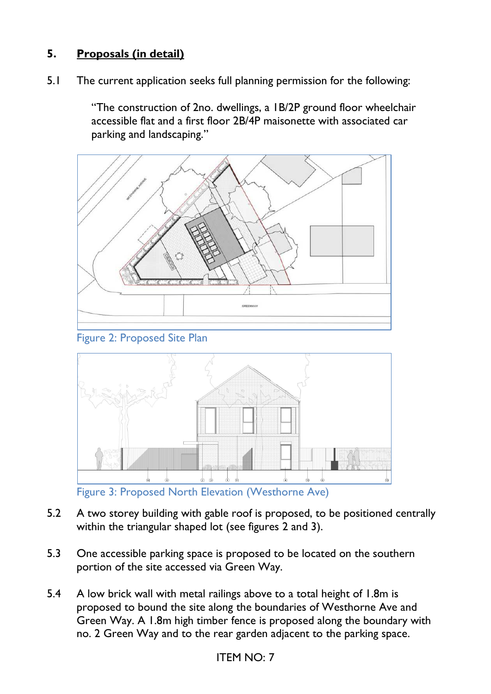# **5. Proposals (in detail)**

5.1 The current application seeks full planning permission for the following:

"The construction of 2no. dwellings, a 1B/2P ground floor wheelchair accessible flat and a first floor 2B/4P maisonette with associated car parking and landscaping."



Figure 2: Proposed Site Plan



Figure 3: Proposed North Elevation (Westhorne Ave)

- 5.2 A two storey building with gable roof is proposed, to be positioned centrally within the triangular shaped lot (see figures 2 and 3).
- 5.3 One accessible parking space is proposed to be located on the southern portion of the site accessed via Green Way.
- 5.4 A low brick wall with metal railings above to a total height of 1.8m is proposed to bound the site along the boundaries of Westhorne Ave and Green Way. A 1.8m high timber fence is proposed along the boundary with no. 2 Green Way and to the rear garden adjacent to the parking space.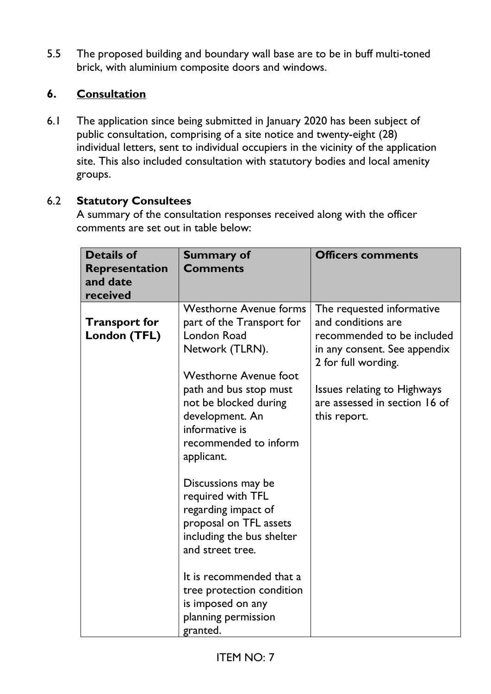5.5 The proposed building and boundary wall base are to be in buff multi-toned brick, with aluminium composite doors and windows.

# **6. Consultation**

6.1 The application since being submitted in January 2020 has been subject of public consultation, comprising of a site notice and twenty-eight (28) individual letters, sent to individual occupiers in the vicinity of the application site. This also included consultation with statutory bodies and local amenity groups.

## 6.2 **Statutory Consultees**

A summary of the consultation responses received along with the officer comments are set out in table below:

| <b>Details of</b><br>Representation<br>and date<br>received | <b>Summary of</b><br><b>Comments</b>                                                                                                                                                                                                                                                                                                                                                                            | <b>Officers comments</b>                                                                                                                                                                                                    |
|-------------------------------------------------------------|-----------------------------------------------------------------------------------------------------------------------------------------------------------------------------------------------------------------------------------------------------------------------------------------------------------------------------------------------------------------------------------------------------------------|-----------------------------------------------------------------------------------------------------------------------------------------------------------------------------------------------------------------------------|
| <b>Transport for</b><br>London (TFL)                        | <b>Westhorne Avenue forms</b><br>part of the Transport for<br><b>London Road</b><br>Network (TLRN).<br><b>Westhorne Avenue foot</b><br>path and bus stop must<br>not be blocked during<br>development. An<br>informative is<br>recommended to inform<br>applicant.<br>Discussions may be<br>required with TFL<br>regarding impact of<br>proposal on TFL assets<br>including the bus shelter<br>and street tree. | The requested informative<br>and conditions are<br>recommended to be included<br>in any consent. See appendix<br>2 for full wording.<br><b>Issues relating to Highways</b><br>are assessed in section 16 of<br>this report. |
|                                                             | It is recommended that a<br>tree protection condition<br>is imposed on any<br>planning permission<br>granted.                                                                                                                                                                                                                                                                                                   |                                                                                                                                                                                                                             |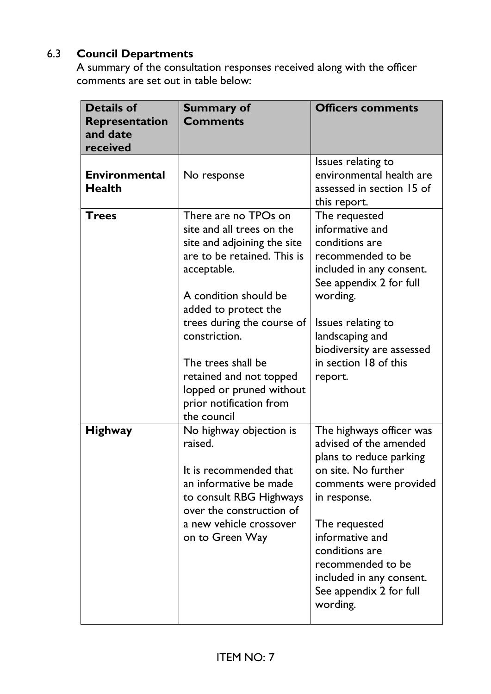# 6.3 **Council Departments**

A summary of the consultation responses received along with the officer comments are set out in table below:

| <b>Details of</b><br><b>Representation</b><br>and date<br>received | <b>Summary of</b><br><b>Comments</b>                                                                                                                                                                                                                                                                                                                  | <b>Officers comments</b>                                                                                                                                                                                                                                                                     |
|--------------------------------------------------------------------|-------------------------------------------------------------------------------------------------------------------------------------------------------------------------------------------------------------------------------------------------------------------------------------------------------------------------------------------------------|----------------------------------------------------------------------------------------------------------------------------------------------------------------------------------------------------------------------------------------------------------------------------------------------|
| <b>Environmental</b><br><b>Health</b>                              | No response                                                                                                                                                                                                                                                                                                                                           | Issues relating to<br>environmental health are<br>assessed in section 15 of<br>this report.                                                                                                                                                                                                  |
| <b>Trees</b>                                                       | There are no TPOs on<br>site and all trees on the<br>site and adjoining the site<br>are to be retained. This is<br>acceptable.<br>A condition should be<br>added to protect the<br>trees during the course of<br>constriction.<br>The trees shall be<br>retained and not topped<br>lopped or pruned without<br>prior notification from<br>the council | The requested<br>informative and<br>conditions are<br>recommended to be<br>included in any consent.<br>See appendix 2 for full<br>wording.<br>Issues relating to<br>landscaping and<br>biodiversity are assessed<br>in section 18 of this<br>report.                                         |
| <b>Highway</b>                                                     | No highway objection is<br>raised.<br>It is recommended that<br>an informative be made<br>to consult RBG Highways<br>over the construction of<br>a new vehicle crossover<br>on to Green Way                                                                                                                                                           | The highways officer was<br>advised of the amended<br>plans to reduce parking<br>on site. No further<br>comments were provided<br>in response.<br>The requested<br>informative and<br>conditions are<br>recommended to be<br>included in any consent.<br>See appendix 2 for full<br>wording. |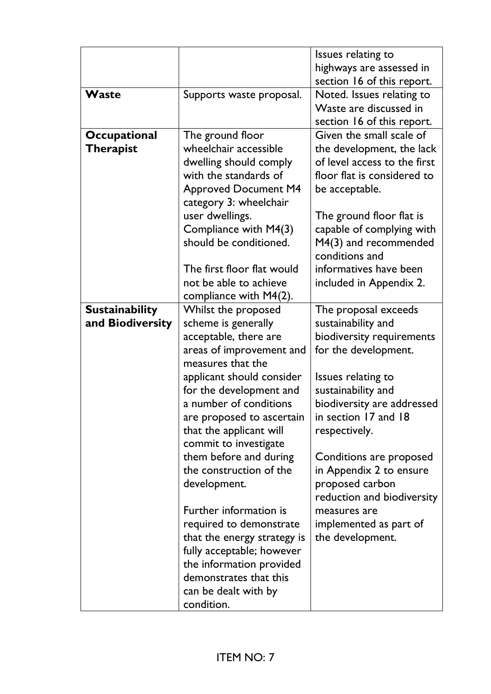|                       |                             | Issues relating to           |
|-----------------------|-----------------------------|------------------------------|
|                       |                             | highways are assessed in     |
|                       |                             | section 16 of this report.   |
| Waste                 | Supports waste proposal.    | Noted. Issues relating to    |
|                       |                             | Waste are discussed in       |
|                       |                             | section 16 of this report.   |
| Occupational          | The ground floor            | Given the small scale of     |
| <b>Therapist</b>      | wheelchair accessible       | the development, the lack    |
|                       | dwelling should comply      | of level access to the first |
|                       | with the standards of       | floor flat is considered to  |
|                       | <b>Approved Document M4</b> | be acceptable.               |
|                       | category 3: wheelchair      |                              |
|                       | user dwellings.             | The ground floor flat is     |
|                       | Compliance with M4(3)       | capable of complying with    |
|                       | should be conditioned.      | M4(3) and recommended        |
|                       |                             | conditions and               |
|                       | The first floor flat would  | informatives have been       |
|                       | not be able to achieve      | included in Appendix 2.      |
|                       | compliance with $M4(2)$ .   |                              |
| <b>Sustainability</b> | Whilst the proposed         | The proposal exceeds         |
| and Biodiversity      | scheme is generally         | sustainability and           |
|                       | acceptable, there are       | biodiversity requirements    |
|                       | areas of improvement and    | for the development.         |
|                       | measures that the           |                              |
|                       | applicant should consider   | Issues relating to           |
|                       | for the development and     | sustainability and           |
|                       | a number of conditions      | biodiversity are addressed   |
|                       | are proposed to ascertain   | in section 17 and 18         |
|                       | that the applicant will     | respectively.                |
|                       | commit to investigate       |                              |
|                       | them before and during      | Conditions are proposed      |
|                       | the construction of the     | in Appendix 2 to ensure      |
|                       | development.                | proposed carbon              |
|                       |                             | reduction and biodiversity   |
|                       | Further information is      | measures are                 |
|                       | required to demonstrate     | implemented as part of       |
|                       | that the energy strategy is | the development.             |
|                       | fully acceptable; however   |                              |
|                       | the information provided    |                              |
|                       | demonstrates that this      |                              |
|                       | can be dealt with by        |                              |
|                       | condition.                  |                              |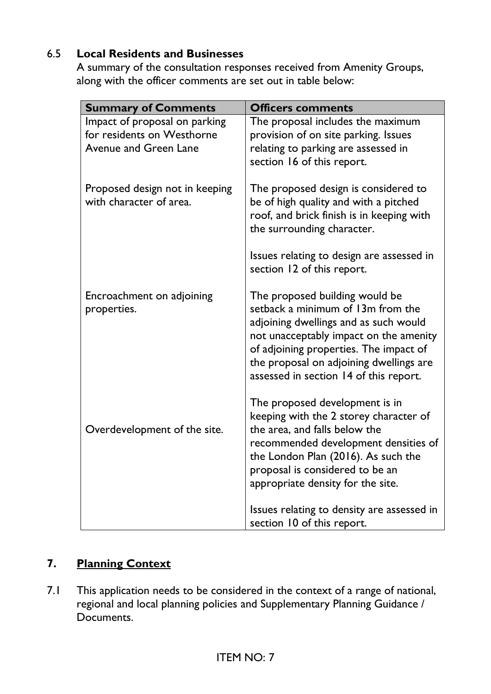# 6.5 **Local Residents and Businesses**

A summary of the consultation responses received from Amenity Groups, along with the officer comments are set out in table below:

| <b>Summary of Comments</b>                                                                  | <b>Officers comments</b>                                                                                                                                                                                                                                                              |
|---------------------------------------------------------------------------------------------|---------------------------------------------------------------------------------------------------------------------------------------------------------------------------------------------------------------------------------------------------------------------------------------|
| Impact of proposal on parking<br>for residents on Westhorne<br><b>Avenue and Green Lane</b> | The proposal includes the maximum<br>provision of on site parking. Issues<br>relating to parking are assessed in<br>section 16 of this report.                                                                                                                                        |
| Proposed design not in keeping<br>with character of area.                                   | The proposed design is considered to<br>be of high quality and with a pitched<br>roof, and brick finish is in keeping with<br>the surrounding character.<br>Issues relating to design are assessed in                                                                                 |
|                                                                                             | section 12 of this report.                                                                                                                                                                                                                                                            |
| Encroachment on adjoining<br>properties.                                                    | The proposed building would be<br>setback a minimum of 13m from the<br>adjoining dwellings and as such would<br>not unacceptably impact on the amenity<br>of adjoining properties. The impact of<br>the proposal on adjoining dwellings are<br>assessed in section 14 of this report. |
| Overdevelopment of the site.                                                                | The proposed development is in<br>keeping with the 2 storey character of<br>the area, and falls below the<br>recommended development densities of<br>the London Plan (2016). As such the<br>proposal is considered to be an<br>appropriate density for the site.                      |
|                                                                                             | Issues relating to density are assessed in<br>section 10 of this report.                                                                                                                                                                                                              |

# **7. Planning Context**

7.1 This application needs to be considered in the context of a range of national, regional and local planning policies and Supplementary Planning Guidance / Documents.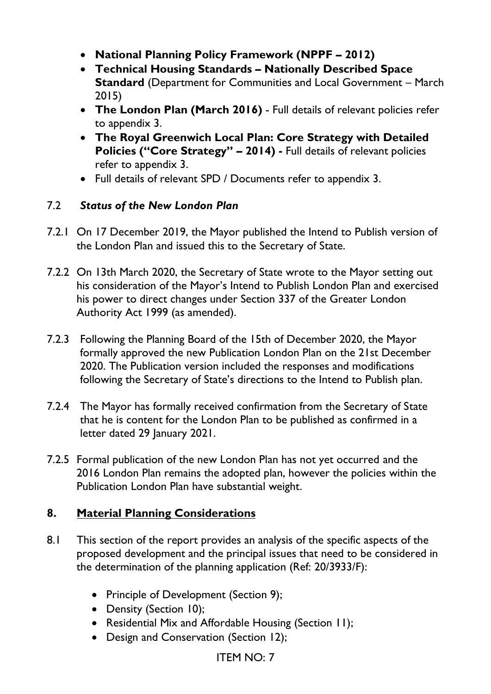- **National Planning Policy Framework (NPPF – 2012)**
- **Technical Housing Standards – Nationally Described Space Standard** (Department for Communities and Local Government – March 2015)
- **The London Plan (March 2016)** Full details of relevant policies refer to appendix 3.
- **The Royal Greenwich Local Plan: Core Strategy with Detailed Policies ("Core Strategy" – 2014) -** Full details of relevant policies refer to appendix 3.
- Full details of relevant SPD / Documents refer to appendix 3.

### 7.2 *Status of the New London Plan*

- 7.2.1 On 17 December 2019, the Mayor published the Intend to Publish version of the London Plan and issued this to the Secretary of State.
- 7.2.2 On 13th March 2020, the Secretary of State wrote to the Mayor setting out his consideration of the Mayor's Intend to Publish London Plan and exercised his power to direct changes under Section 337 of the Greater London Authority Act 1999 (as amended).
- 7.2.3 Following the Planning Board of the 15th of December 2020, the Mayor formally approved the new Publication London Plan on the 21st December 2020. The Publication version included the responses and modifications following the Secretary of State's directions to the Intend to Publish plan.
- 7.2.4 The Mayor has formally received confirmation from the Secretary of State that he is content for the London Plan to be published as confirmed in a letter dated 29 January 2021.
- 7.2.5 Formal publication of the new London Plan has not yet occurred and the 2016 London Plan remains the adopted plan, however the policies within the Publication London Plan have substantial weight.

### **8. Material Planning Considerations**

- 8.1 This section of the report provides an analysis of the specific aspects of the proposed development and the principal issues that need to be considered in the determination of the planning application (Ref: 20/3933/F):
	- Principle of Development (Section 9);
	- Density (Section 10);
	- Residential Mix and Affordable Housing (Section 11);
	- Design and Conservation (Section 12);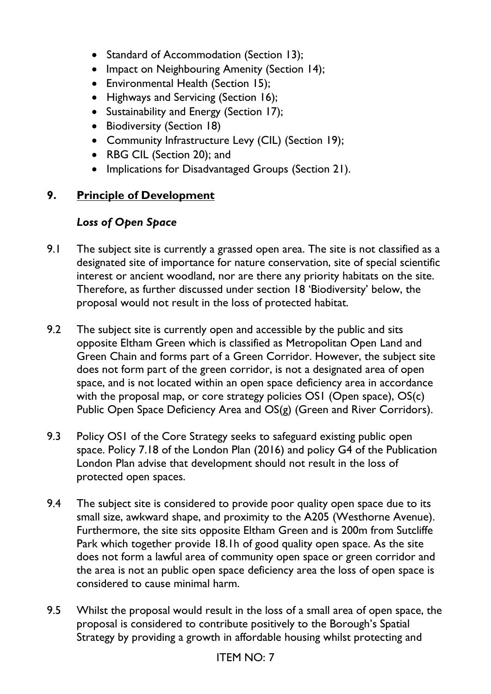- Standard of Accommodation (Section 13);
- Impact on Neighbouring Amenity (Section 14);
- Environmental Health (Section 15);
- Highways and Servicing (Section 16);
- Sustainability and Energy (Section 17);
- Biodiversity (Section 18)
- Community Infrastructure Levy (CIL) (Section 19);
- RBG CIL (Section 20); and
- Implications for Disadvantaged Groups (Section 21).

### **9. Principle of Development**

### *Loss of Open Space*

- 9.1 The subject site is currently a grassed open area. The site is not classified as a designated site of importance for nature conservation, site of special scientific interest or ancient woodland, nor are there any priority habitats on the site. Therefore, as further discussed under section 18 'Biodiversity' below, the proposal would not result in the loss of protected habitat.
- 9.2 The subject site is currently open and accessible by the public and sits opposite Eltham Green which is classified as Metropolitan Open Land and Green Chain and forms part of a Green Corridor. However, the subject site does not form part of the green corridor, is not a designated area of open space, and is not located within an open space deficiency area in accordance with the proposal map, or core strategy policies OS1 (Open space), OS(c) Public Open Space Deficiency Area and OS(g) (Green and River Corridors).
- 9.3 Policy OS1 of the Core Strategy seeks to safeguard existing public open space. Policy 7.18 of the London Plan (2016) and policy G4 of the Publication London Plan advise that development should not result in the loss of protected open spaces.
- 9.4 The subject site is considered to provide poor quality open space due to its small size, awkward shape, and proximity to the A205 (Westhorne Avenue). Furthermore, the site sits opposite Eltham Green and is 200m from Sutcliffe Park which together provide 18.1h of good quality open space. As the site does not form a lawful area of community open space or green corridor and the area is not an public open space deficiency area the loss of open space is considered to cause minimal harm.
- 9.5 Whilst the proposal would result in the loss of a small area of open space, the proposal is considered to contribute positively to the Borough's Spatial Strategy by providing a growth in affordable housing whilst protecting and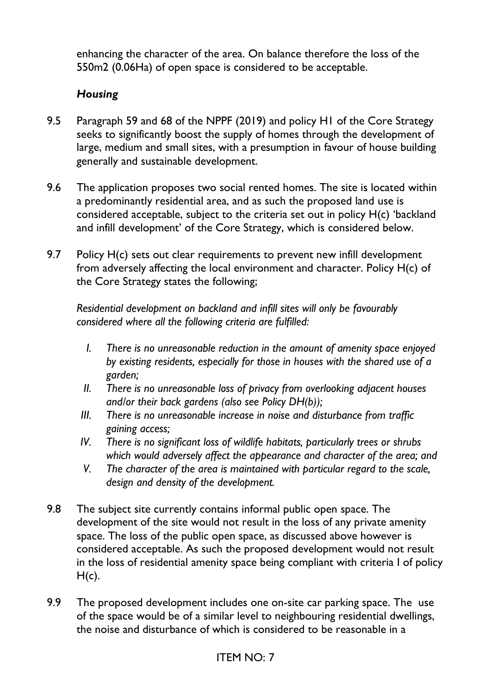enhancing the character of the area. On balance therefore the loss of the 550m2 (0.06Ha) of open space is considered to be acceptable.

### *Housing*

- 9.5 Paragraph 59 and 68 of the NPPF (2019) and policy H1 of the Core Strategy seeks to significantly boost the supply of homes through the development of large, medium and small sites, with a presumption in favour of house building generally and sustainable development.
- 9.6 The application proposes two social rented homes. The site is located within a predominantly residential area, and as such the proposed land use is considered acceptable, subject to the criteria set out in policy H(c) 'backland and infill development' of the Core Strategy, which is considered below.
- 9.7 Policy H(c) sets out clear requirements to prevent new infill development from adversely affecting the local environment and character. Policy H(c) of the Core Strategy states the following;

*Residential development on backland and infill sites will only be favourably considered where all the following criteria are fulfilled:* 

- *I. There is no unreasonable reduction in the amount of amenity space enjoyed by existing residents, especially for those in houses with the shared use of a garden;*
- *II. There is no unreasonable loss of privacy from overlooking adjacent houses and/or their back gardens (also see Policy DH(b));*
- *III. There is no unreasonable increase in noise and disturbance from traffic gaining access;*
- *IV. There is no significant loss of wildlife habitats, particularly trees or shrubs which would adversely affect the appearance and character of the area; and*
- *V. The character of the area is maintained with particular regard to the scale, design and density of the development.*
- 9.8 The subject site currently contains informal public open space. The development of the site would not result in the loss of any private amenity space. The loss of the public open space, as discussed above however is considered acceptable. As such the proposed development would not result in the loss of residential amenity space being compliant with criteria I of policy  $H(c)$ .
- 9.9 The proposed development includes one on-site car parking space. The use of the space would be of a similar level to neighbouring residential dwellings, the noise and disturbance of which is considered to be reasonable in a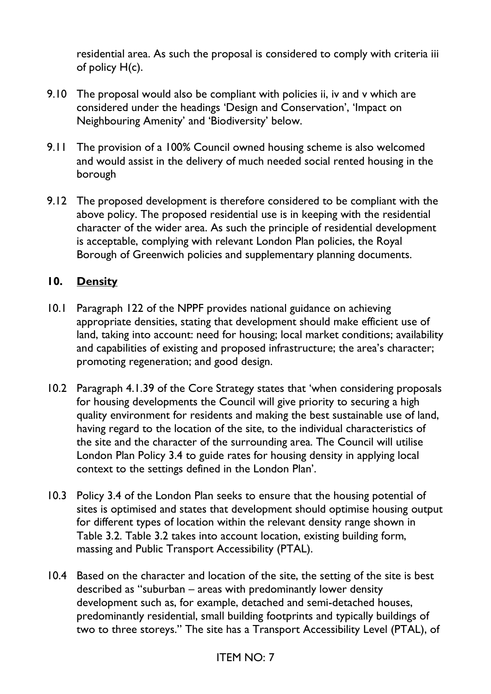residential area. As such the proposal is considered to comply with criteria iii of policy H(c).

- 9.10 The proposal would also be compliant with policies ii, iv and v which are considered under the headings 'Design and Conservation', 'Impact on Neighbouring Amenity' and 'Biodiversity' below.
- 9.11 The provision of a 100% Council owned housing scheme is also welcomed and would assist in the delivery of much needed social rented housing in the borough
- 9.12 The proposed development is therefore considered to be compliant with the above policy. The proposed residential use is in keeping with the residential character of the wider area. As such the principle of residential development is acceptable, complying with relevant London Plan policies, the Royal Borough of Greenwich policies and supplementary planning documents.

### **10. Density**

- 10.1 Paragraph 122 of the NPPF provides national guidance on achieving appropriate densities, stating that development should make efficient use of land, taking into account: need for housing; local market conditions; availability and capabilities of existing and proposed infrastructure; the area's character; promoting regeneration; and good design.
- 10.2 Paragraph 4.1.39 of the Core Strategy states that 'when considering proposals for housing developments the Council will give priority to securing a high quality environment for residents and making the best sustainable use of land, having regard to the location of the site, to the individual characteristics of the site and the character of the surrounding area. The Council will utilise London Plan Policy 3.4 to guide rates for housing density in applying local context to the settings defined in the London Plan'.
- 10.3 Policy 3.4 of the London Plan seeks to ensure that the housing potential of sites is optimised and states that development should optimise housing output for different types of location within the relevant density range shown in Table 3.2. Table 3.2 takes into account location, existing building form, massing and Public Transport Accessibility (PTAL).
- 10.4 Based on the character and location of the site, the setting of the site is best described as "suburban – areas with predominantly lower density development such as, for example, detached and semi-detached houses, predominantly residential, small building footprints and typically buildings of two to three storeys." The site has a Transport Accessibility Level (PTAL), of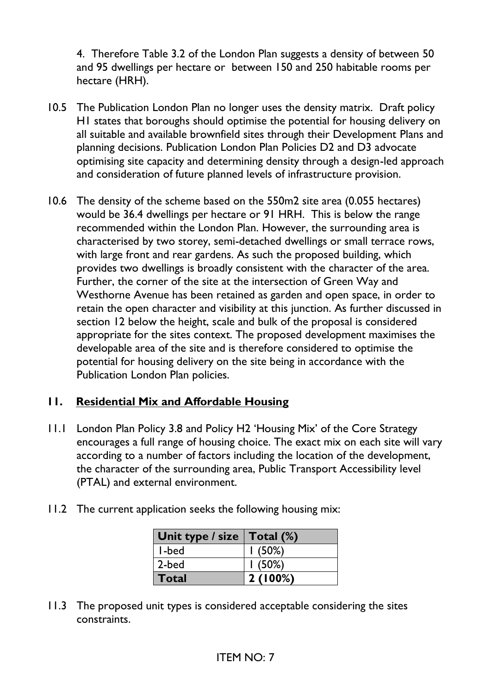4. Therefore Table 3.2 of the London Plan suggests a density of between 50 and 95 dwellings per hectare or between 150 and 250 habitable rooms per hectare (HRH).

- 10.5 The Publication London Plan no longer uses the density matrix. Draft policy H1 states that boroughs should optimise the potential for housing delivery on all suitable and available brownfield sites through their Development Plans and planning decisions. Publication London Plan Policies D2 and D3 advocate optimising site capacity and determining density through a design-led approach and consideration of future planned levels of infrastructure provision.
- 10.6 The density of the scheme based on the 550m2 site area (0.055 hectares) would be 36.4 dwellings per hectare or 91 HRH. This is below the range recommended within the London Plan. However, the surrounding area is characterised by two storey, semi-detached dwellings or small terrace rows, with large front and rear gardens. As such the proposed building, which provides two dwellings is broadly consistent with the character of the area. Further, the corner of the site at the intersection of Green Way and Westhorne Avenue has been retained as garden and open space, in order to retain the open character and visibility at this junction. As further discussed in section 12 below the height, scale and bulk of the proposal is considered appropriate for the sites context. The proposed development maximises the developable area of the site and is therefore considered to optimise the potential for housing delivery on the site being in accordance with the Publication London Plan policies.

### **11. Residential Mix and Affordable Housing**

- 11.1 London Plan Policy 3.8 and Policy H2 'Housing Mix' of the Core Strategy encourages a full range of housing choice. The exact mix on each site will vary according to a number of factors including the location of the development, the character of the surrounding area, Public Transport Accessibility level (PTAL) and external environment.
- 11.2 The current application seeks the following housing mix:

| Unit type / size $ $ Total $%$ |         |
|--------------------------------|---------|
| I-bed                          | (50%)   |
| 2-bed                          | 1(50%)  |
| Total                          | 2(100%) |

11.3 The proposed unit types is considered acceptable considering the sites constraints.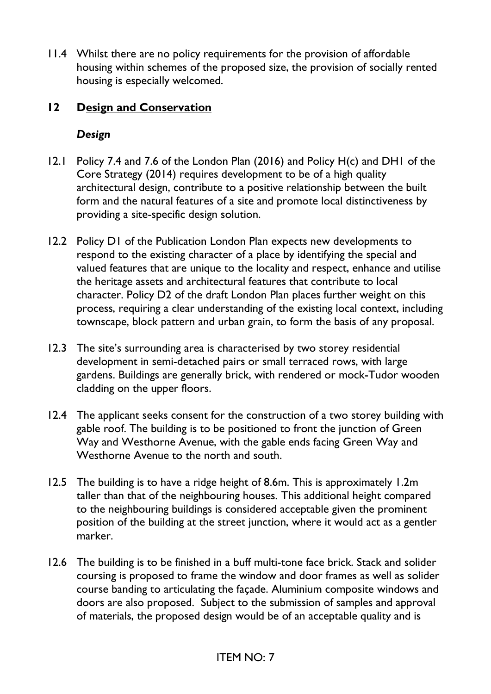11.4 Whilst there are no policy requirements for the provision of affordable housing within schemes of the proposed size, the provision of socially rented housing is especially welcomed.

### **12 Design and Conservation**

#### *Design*

- 12.1 Policy 7.4 and 7.6 of the London Plan (2016) and Policy H(c) and DH1 of the Core Strategy (2014) requires development to be of a high quality architectural design, contribute to a positive relationship between the built form and the natural features of a site and promote local distinctiveness by providing a site-specific design solution.
- 12.2 Policy D1 of the Publication London Plan expects new developments to respond to the existing character of a place by identifying the special and valued features that are unique to the locality and respect, enhance and utilise the heritage assets and architectural features that contribute to local character. Policy D2 of the draft London Plan places further weight on this process, requiring a clear understanding of the existing local context, including townscape, block pattern and urban grain, to form the basis of any proposal.
- 12.3 The site's surrounding area is characterised by two storey residential development in semi-detached pairs or small terraced rows, with large gardens. Buildings are generally brick, with rendered or mock-Tudor wooden cladding on the upper floors.
- 12.4 The applicant seeks consent for the construction of a two storey building with gable roof. The building is to be positioned to front the junction of Green Way and Westhorne Avenue, with the gable ends facing Green Way and Westhorne Avenue to the north and south.
- 12.5 The building is to have a ridge height of 8.6m. This is approximately 1.2m taller than that of the neighbouring houses. This additional height compared to the neighbouring buildings is considered acceptable given the prominent position of the building at the street junction, where it would act as a gentler marker.
- 12.6 The building is to be finished in a buff multi-tone face brick. Stack and solider coursing is proposed to frame the window and door frames as well as solider course banding to articulating the façade. Aluminium composite windows and doors are also proposed. Subject to the submission of samples and approval of materials, the proposed design would be of an acceptable quality and is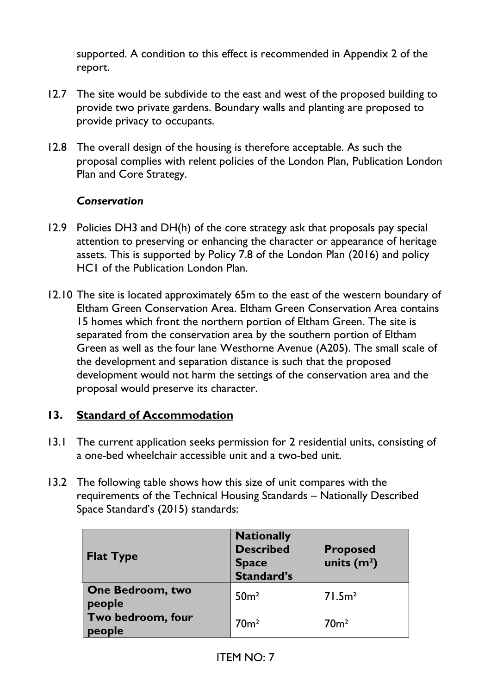supported. A condition to this effect is recommended in Appendix 2 of the report.

- 12.7 The site would be subdivide to the east and west of the proposed building to provide two private gardens. Boundary walls and planting are proposed to provide privacy to occupants.
- 12.8 The overall design of the housing is therefore acceptable. As such the proposal complies with relent policies of the London Plan, Publication London Plan and Core Strategy.

#### *Conservation*

- 12.9 Policies DH3 and DH(h) of the core strategy ask that proposals pay special attention to preserving or enhancing the character or appearance of heritage assets. This is supported by Policy 7.8 of the London Plan (2016) and policy HC1 of the Publication London Plan.
- 12.10 The site is located approximately 65m to the east of the western boundary of Eltham Green Conservation Area. Eltham Green Conservation Area contains 15 homes which front the northern portion of Eltham Green. The site is separated from the conservation area by the southern portion of Eltham Green as well as the four lane Westhorne Avenue (A205). The small scale of the development and separation distance is such that the proposed development would not harm the settings of the conservation area and the proposal would preserve its character.

#### **13. Standard of Accommodation**

- 13.1 The current application seeks permission for 2 residential units, consisting of a one-bed wheelchair accessible unit and a two-bed unit.
- 13.2 The following table shows how this size of unit compares with the requirements of the Technical Housing Standards – Nationally Described Space Standard's (2015) standards:

| <b>Flat Type</b>                  | <b>Nationally</b><br><b>Described</b><br><b>Space</b><br>Standard's | <b>Proposed</b><br>units $(m2)$ |
|-----------------------------------|---------------------------------------------------------------------|---------------------------------|
| <b>One Bedroom, two</b><br>people | 50 <sup>m²</sup>                                                    | 71.5m <sup>2</sup>              |
| Two bedroom, four<br>people       | 70 <sup>m²</sup>                                                    | 70 <sup>m²</sup>                |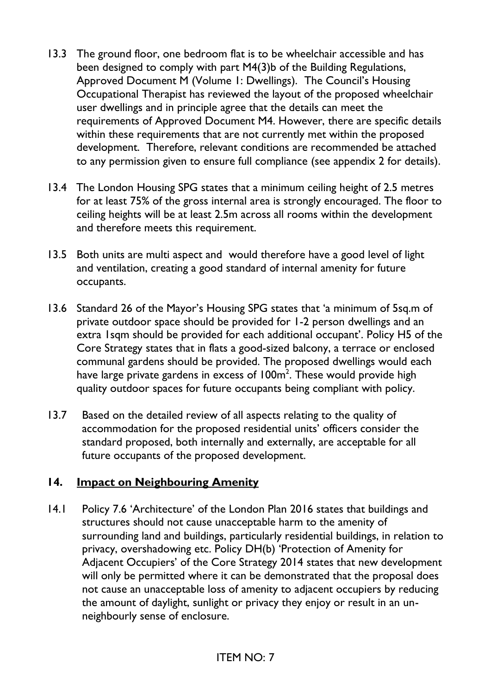- 13.3 The ground floor, one bedroom flat is to be wheelchair accessible and has been designed to comply with part M4(3)b of the Building Regulations, Approved Document M (Volume 1: Dwellings). The Council's Housing Occupational Therapist has reviewed the layout of the proposed wheelchair user dwellings and in principle agree that the details can meet the requirements of Approved Document M4. However, there are specific details within these requirements that are not currently met within the proposed development. Therefore, relevant conditions are recommended be attached to any permission given to ensure full compliance (see appendix 2 for details).
- 13.4 The London Housing SPG states that a minimum ceiling height of 2.5 metres for at least 75% of the gross internal area is strongly encouraged. The floor to ceiling heights will be at least 2.5m across all rooms within the development and therefore meets this requirement.
- 13.5 Both units are multi aspect and would therefore have a good level of light and ventilation, creating a good standard of internal amenity for future occupants.
- 13.6 Standard 26 of the Mayor's Housing SPG states that 'a minimum of 5sq.m of private outdoor space should be provided for 1-2 person dwellings and an extra 1sqm should be provided for each additional occupant'. Policy H5 of the Core Strategy states that in flats a good-sized balcony, a terrace or enclosed communal gardens should be provided. The proposed dwellings would each have large private gardens in excess of  $100\text{m}^2$ . These would provide high quality outdoor spaces for future occupants being compliant with policy.
- 13.7 Based on the detailed review of all aspects relating to the quality of accommodation for the proposed residential units' officers consider the standard proposed, both internally and externally, are acceptable for all future occupants of the proposed development.

#### **14. Impact on Neighbouring Amenity**

14.1 Policy 7.6 'Architecture' of the London Plan 2016 states that buildings and structures should not cause unacceptable harm to the amenity of surrounding land and buildings, particularly residential buildings, in relation to privacy, overshadowing etc. Policy DH(b) 'Protection of Amenity for Adjacent Occupiers' of the Core Strategy 2014 states that new development will only be permitted where it can be demonstrated that the proposal does not cause an unacceptable loss of amenity to adjacent occupiers by reducing the amount of daylight, sunlight or privacy they enjoy or result in an unneighbourly sense of enclosure.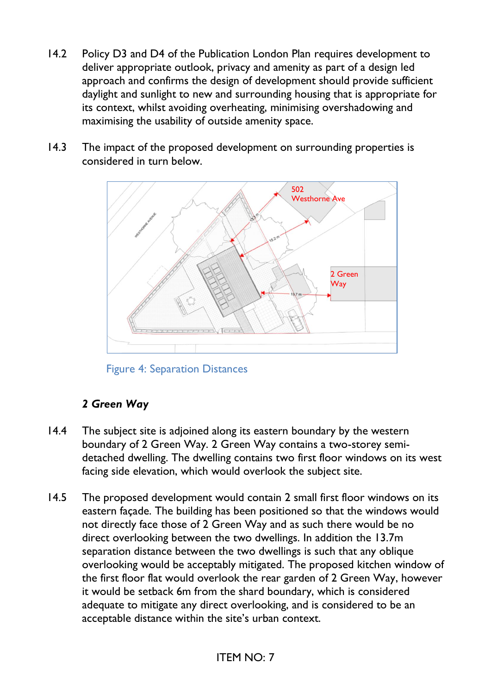- 14.2 Policy D3 and D4 of the Publication London Plan requires development to deliver appropriate outlook, privacy and amenity as part of a design led approach and confirms the design of development should provide sufficient daylight and sunlight to new and surrounding housing that is appropriate for its context, whilst avoiding overheating, minimising overshadowing and maximising the usability of outside amenity space.
- 14.3 The impact of the proposed development on surrounding properties is considered in turn below.



Figure 4: Separation Distances

# *2 Green Way*

- 14.4 The subject site is adjoined along its eastern boundary by the western boundary of 2 Green Way. 2 Green Way contains a two-storey semidetached dwelling. The dwelling contains two first floor windows on its west facing side elevation, which would overlook the subject site.
- 14.5 The proposed development would contain 2 small first floor windows on its eastern façade. The building has been positioned so that the windows would not directly face those of 2 Green Way and as such there would be no direct overlooking between the two dwellings. In addition the 13.7m separation distance between the two dwellings is such that any oblique overlooking would be acceptably mitigated. The proposed kitchen window of the first floor flat would overlook the rear garden of 2 Green Way, however it would be setback 6m from the shard boundary, which is considered adequate to mitigate any direct overlooking, and is considered to be an acceptable distance within the site's urban context.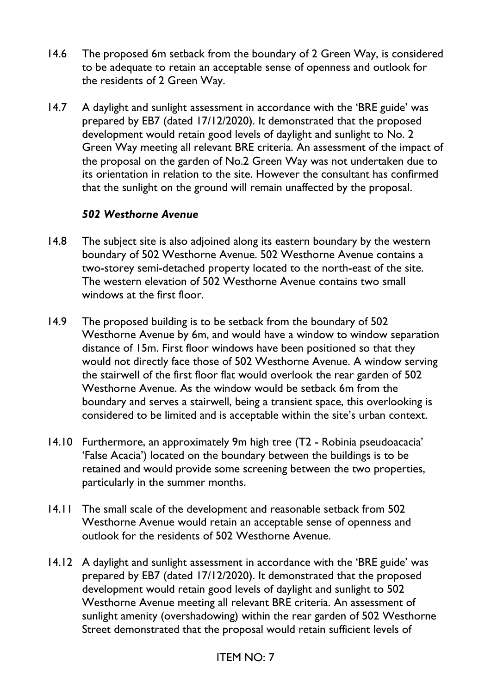- 14.6 The proposed 6m setback from the boundary of 2 Green Way, is considered to be adequate to retain an acceptable sense of openness and outlook for the residents of 2 Green Way.
- 14.7 A daylight and sunlight assessment in accordance with the 'BRE guide' was prepared by EB7 (dated 17/12/2020). It demonstrated that the proposed development would retain good levels of daylight and sunlight to No. 2 Green Way meeting all relevant BRE criteria. An assessment of the impact of the proposal on the garden of No.2 Green Way was not undertaken due to its orientation in relation to the site. However the consultant has confirmed that the sunlight on the ground will remain unaffected by the proposal.

#### *502 Westhorne Avenue*

- 14.8 The subject site is also adjoined along its eastern boundary by the western boundary of 502 Westhorne Avenue. 502 Westhorne Avenue contains a two-storey semi-detached property located to the north-east of the site. The western elevation of 502 Westhorne Avenue contains two small windows at the first floor.
- 14.9 The proposed building is to be setback from the boundary of 502 Westhorne Avenue by 6m, and would have a window to window separation distance of 15m. First floor windows have been positioned so that they would not directly face those of 502 Westhorne Avenue. A window serving the stairwell of the first floor flat would overlook the rear garden of 502 Westhorne Avenue. As the window would be setback 6m from the boundary and serves a stairwell, being a transient space, this overlooking is considered to be limited and is acceptable within the site's urban context.
- 14.10 Furthermore, an approximately 9m high tree (T2 Robinia pseudoacacia' 'False Acacia') located on the boundary between the buildings is to be retained and would provide some screening between the two properties, particularly in the summer months.
- 14.11 The small scale of the development and reasonable setback from 502 Westhorne Avenue would retain an acceptable sense of openness and outlook for the residents of 502 Westhorne Avenue.
- 14.12 A daylight and sunlight assessment in accordance with the 'BRE guide' was prepared by EB7 (dated 17/12/2020). It demonstrated that the proposed development would retain good levels of daylight and sunlight to 502 Westhorne Avenue meeting all relevant BRE criteria. An assessment of sunlight amenity (overshadowing) within the rear garden of 502 Westhorne Street demonstrated that the proposal would retain sufficient levels of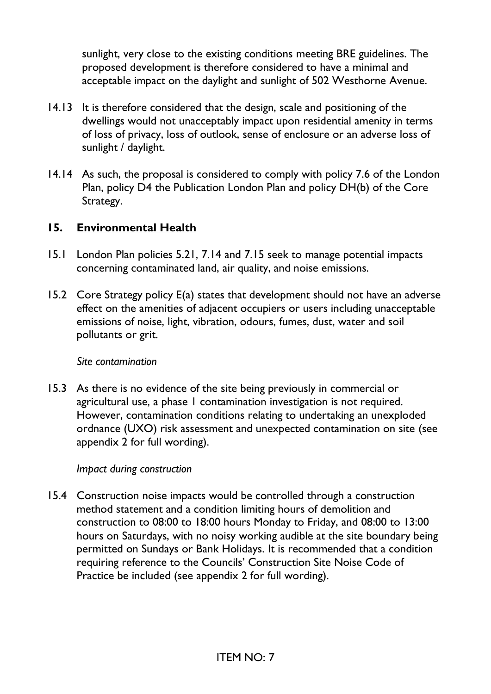sunlight, very close to the existing conditions meeting BRE guidelines. The proposed development is therefore considered to have a minimal and acceptable impact on the daylight and sunlight of 502 Westhorne Avenue.

- 14.13 It is therefore considered that the design, scale and positioning of the dwellings would not unacceptably impact upon residential amenity in terms of loss of privacy, loss of outlook, sense of enclosure or an adverse loss of sunlight / daylight.
- 14.14 As such, the proposal is considered to comply with policy 7.6 of the London Plan, policy D4 the Publication London Plan and policy DH(b) of the Core Strategy.

### **15. Environmental Health**

- 15.1 London Plan policies 5.21, 7.14 and 7.15 seek to manage potential impacts concerning contaminated land, air quality, and noise emissions.
- 15.2 Core Strategy policy E(a) states that development should not have an adverse effect on the amenities of adjacent occupiers or users including unacceptable emissions of noise, light, vibration, odours, fumes, dust, water and soil pollutants or grit.

#### *Site contamination*

15.3 As there is no evidence of the site being previously in commercial or agricultural use, a phase 1 contamination investigation is not required. However, contamination conditions relating to undertaking an unexploded ordnance (UXO) risk assessment and unexpected contamination on site (see appendix 2 for full wording).

#### *Impact during construction*

15.4 Construction noise impacts would be controlled through a construction method statement and a condition limiting hours of demolition and construction to 08:00 to 18:00 hours Monday to Friday, and 08:00 to 13:00 hours on Saturdays, with no noisy working audible at the site boundary being permitted on Sundays or Bank Holidays. It is recommended that a condition requiring reference to the Councils' Construction Site Noise Code of Practice be included (see appendix 2 for full wording).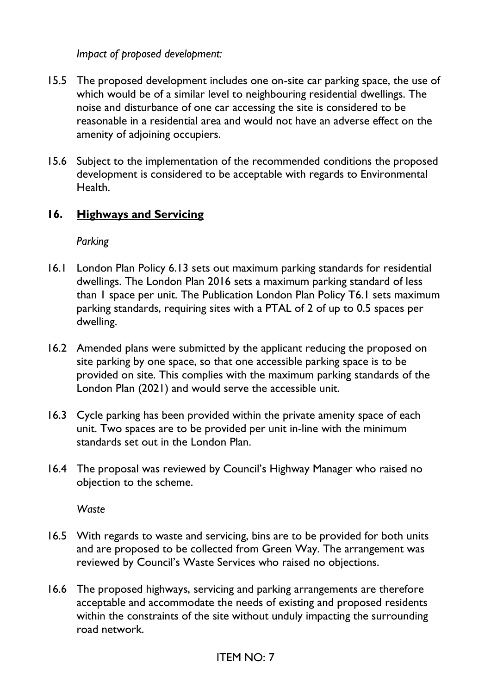*Impact of proposed development:* 

- 15.5 The proposed development includes one on-site car parking space, the use of which would be of a similar level to neighbouring residential dwellings. The noise and disturbance of one car accessing the site is considered to be reasonable in a residential area and would not have an adverse effect on the amenity of adjoining occupiers.
- 15.6 Subject to the implementation of the recommended conditions the proposed development is considered to be acceptable with regards to Environmental Health.

### **16. Highways and Servicing**

*Parking* 

- 16.1 London Plan Policy 6.13 sets out maximum parking standards for residential dwellings. The London Plan 2016 sets a maximum parking standard of less than 1 space per unit. The Publication London Plan Policy T6.1 sets maximum parking standards, requiring sites with a PTAL of 2 of up to 0.5 spaces per dwelling.
- 16.2 Amended plans were submitted by the applicant reducing the proposed on site parking by one space, so that one accessible parking space is to be provided on site. This complies with the maximum parking standards of the London Plan (2021) and would serve the accessible unit.
- 16.3 Cycle parking has been provided within the private amenity space of each unit. Two spaces are to be provided per unit in-line with the minimum standards set out in the London Plan.
- 16.4 The proposal was reviewed by Council's Highway Manager who raised no objection to the scheme.

*Waste* 

- 16.5 With regards to waste and servicing, bins are to be provided for both units and are proposed to be collected from Green Way. The arrangement was reviewed by Council's Waste Services who raised no objections.
- 16.6 The proposed highways, servicing and parking arrangements are therefore acceptable and accommodate the needs of existing and proposed residents within the constraints of the site without unduly impacting the surrounding road network.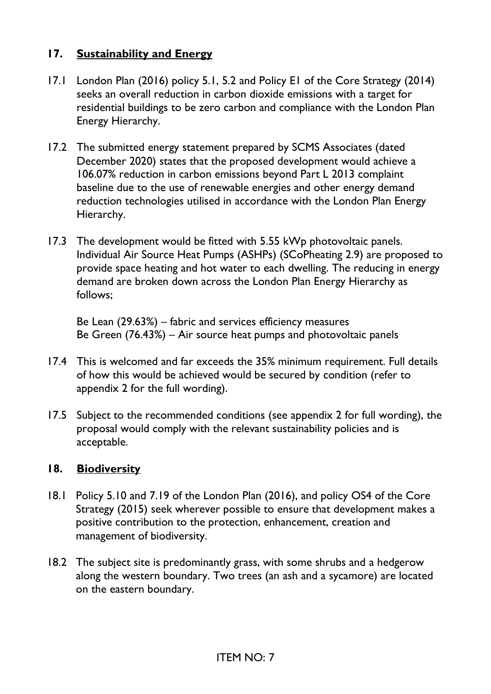### **17. Sustainability and Energy**

- 17.1 London Plan (2016) policy 5.1, 5.2 and Policy E1 of the Core Strategy (2014) seeks an overall reduction in carbon dioxide emissions with a target for residential buildings to be zero carbon and compliance with the London Plan Energy Hierarchy.
- 17.2 The submitted energy statement prepared by SCMS Associates (dated December 2020) states that the proposed development would achieve a 106.07% reduction in carbon emissions beyond Part L 2013 complaint baseline due to the use of renewable energies and other energy demand reduction technologies utilised in accordance with the London Plan Energy Hierarchy.
- 17.3 The development would be fitted with 5.55 kWp photovoltaic panels. Individual Air Source Heat Pumps (ASHPs) (SCoPheating 2.9) are proposed to provide space heating and hot water to each dwelling. The reducing in energy demand are broken down across the London Plan Energy Hierarchy as follows;

Be Lean (29.63%) – fabric and services efficiency measures Be Green (76.43%) – Air source heat pumps and photovoltaic panels

- 17.4 This is welcomed and far exceeds the 35% minimum requirement. Full details of how this would be achieved would be secured by condition (refer to appendix 2 for the full wording).
- 17.5 Subject to the recommended conditions (see appendix 2 for full wording), the proposal would comply with the relevant sustainability policies and is acceptable.

#### **18. Biodiversity**

- 18.1 Policy 5.10 and 7.19 of the London Plan (2016), and policy OS4 of the Core Strategy (2015) seek wherever possible to ensure that development makes a positive contribution to the protection, enhancement, creation and management of biodiversity.
- 18.2 The subject site is predominantly grass, with some shrubs and a hedgerow along the western boundary. Two trees (an ash and a sycamore) are located on the eastern boundary.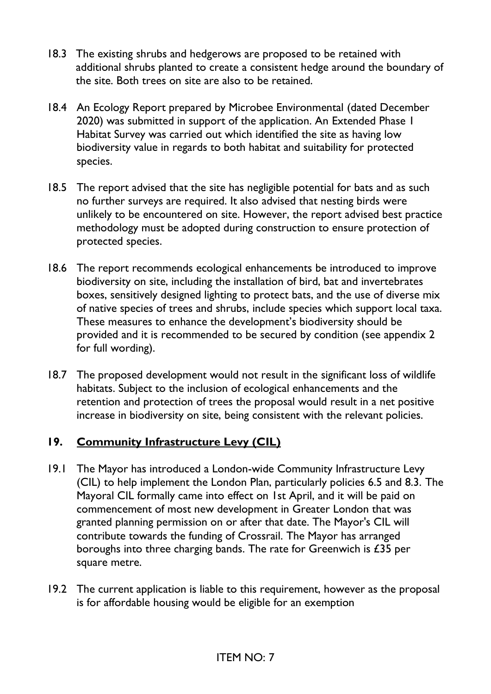- 18.3 The existing shrubs and hedgerows are proposed to be retained with additional shrubs planted to create a consistent hedge around the boundary of the site. Both trees on site are also to be retained.
- 18.4 An Ecology Report prepared by Microbee Environmental (dated December 2020) was submitted in support of the application. An Extended Phase 1 Habitat Survey was carried out which identified the site as having low biodiversity value in regards to both habitat and suitability for protected species.
- 18.5 The report advised that the site has negligible potential for bats and as such no further surveys are required. It also advised that nesting birds were unlikely to be encountered on site. However, the report advised best practice methodology must be adopted during construction to ensure protection of protected species.
- 18.6 The report recommends ecological enhancements be introduced to improve biodiversity on site, including the installation of bird, bat and invertebrates boxes, sensitively designed lighting to protect bats, and the use of diverse mix of native species of trees and shrubs, include species which support local taxa. These measures to enhance the development's biodiversity should be provided and it is recommended to be secured by condition (see appendix 2 for full wording).
- 18.7 The proposed development would not result in the significant loss of wildlife habitats. Subject to the inclusion of ecological enhancements and the retention and protection of trees the proposal would result in a net positive increase in biodiversity on site, being consistent with the relevant policies.

### **19. Community Infrastructure Levy (CIL)**

- 19.1 The Mayor has introduced a London-wide Community Infrastructure Levy (CIL) to help implement the London Plan, particularly policies 6.5 and 8.3. The Mayoral CIL formally came into effect on 1st April, and it will be paid on commencement of most new development in Greater London that was granted planning permission on or after that date. The Mayor's CIL will contribute towards the funding of Crossrail. The Mayor has arranged boroughs into three charging bands. The rate for Greenwich is £35 per square metre.
- 19.2 The current application is liable to this requirement, however as the proposal is for affordable housing would be eligible for an exemption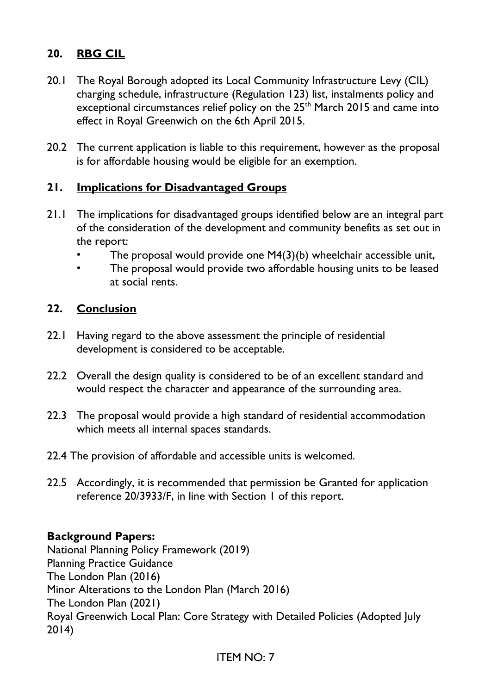# **20. RBG CIL**

- 20.1 The Royal Borough adopted its Local Community Infrastructure Levy (CIL) charging schedule, infrastructure (Regulation 123) list, instalments policy and exceptional circumstances relief policy on the 25<sup>th</sup> March 2015 and came into effect in Royal Greenwich on the 6th April 2015.
- 20.2 The current application is liable to this requirement, however as the proposal is for affordable housing would be eligible for an exemption.

#### **21. Implications for Disadvantaged Groups**

- 21.1 The implications for disadvantaged groups identified below are an integral part of the consideration of the development and community benefits as set out in the report:
	- The proposal would provide one M4(3)(b) wheelchair accessible unit,
	- The proposal would provide two affordable housing units to be leased at social rents.

#### **22. Conclusion**

- 22.1 Having regard to the above assessment the principle of residential development is considered to be acceptable.
- 22.2 Overall the design quality is considered to be of an excellent standard and would respect the character and appearance of the surrounding area.
- 22.3 The proposal would provide a high standard of residential accommodation which meets all internal spaces standards.
- 22.4 The provision of affordable and accessible units is welcomed.
- 22.5 Accordingly, it is recommended that permission be Granted for application reference 20/3933/F, in line with Section 1 of this report.

#### **Background Papers:**

National Planning Policy Framework (2019) Planning Practice Guidance The London Plan (2016) Minor Alterations to the London Plan (March 2016) The London Plan (2021) Royal Greenwich Local Plan: Core Strategy with Detailed Policies (Adopted July 2014)